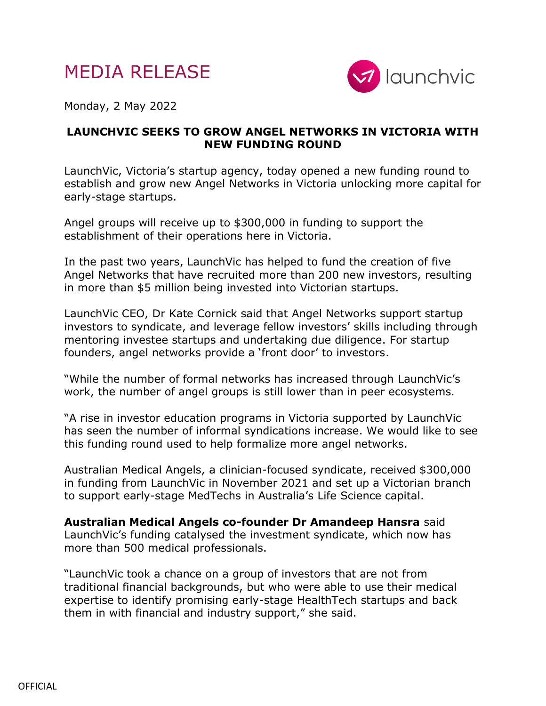



Monday, 2 May 2022

## **LAUNCHVIC SEEKS TO GROW ANGEL NETWORKS IN VICTORIA WITH NEW FUNDING ROUND**

LaunchVic, Victoria's startup agency, today opened a new funding round to establish and grow new Angel Networks in Victoria unlocking more capital for early-stage startups.

Angel groups will receive up to \$300,000 in funding to support the establishment of their operations here in Victoria.

In the past two years, LaunchVic has helped to fund the creation of five Angel Networks that have recruited more than 200 new investors, resulting in more than \$5 million being invested into Victorian startups.

LaunchVic CEO, Dr Kate Cornick said that Angel Networks support startup investors to syndicate, and leverage fellow investors' skills including through mentoring investee startups and undertaking due diligence. For startup founders, angel networks provide a 'front door' to investors.

"While the number of formal networks has increased through LaunchVic's work, the number of angel groups is still lower than in peer ecosystems.

"A rise in investor education programs in Victoria supported by LaunchVic has seen the number of informal syndications increase. We would like to see this funding round used to help formalize more angel networks.

Australian Medical Angels, a clinician-focused syndicate, received \$300,000 in funding from LaunchVic in November 2021 and set up a Victorian branch to support early-stage MedTechs in Australia's Life Science capital.

**Australian Medical Angels co-founder Dr Amandeep Hansra** said LaunchVic's funding catalysed the investment syndicate, which now has more than 500 medical professionals.

"LaunchVic took a chance on a group of investors that are not from traditional financial backgrounds, but who were able to use their medical expertise to identify promising early-stage HealthTech startups and back them in with financial and industry support," she said.